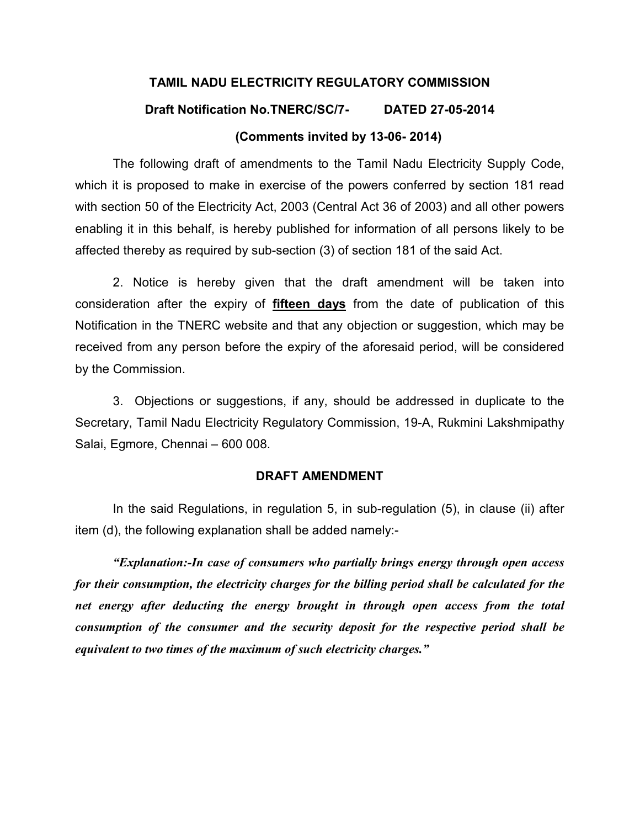# TAMIL NADU ELECTRICITY REGULATORY COMMISSION Draft Notification No.TNERC/SC/7- DATED 27-05-2014

#### (Comments invited by 13-06- 2014)

The following draft of amendments to the Tamil Nadu Electricity Supply Code, which it is proposed to make in exercise of the powers conferred by section 181 read with section 50 of the Electricity Act, 2003 (Central Act 36 of 2003) and all other powers enabling it in this behalf, is hereby published for information of all persons likely to be affected thereby as required by sub-section (3) of section 181 of the said Act.

 2. Notice is hereby given that the draft amendment will be taken into consideration after the expiry of fifteen days from the date of publication of this Notification in the TNERC website and that any objection or suggestion, which may be received from any person before the expiry of the aforesaid period, will be considered by the Commission.

 3. Objections or suggestions, if any, should be addressed in duplicate to the Secretary, Tamil Nadu Electricity Regulatory Commission, 19-A, Rukmini Lakshmipathy Salai, Egmore, Chennai – 600 008.

#### DRAFT AMENDMENT

In the said Regulations, in regulation 5, in sub-regulation (5), in clause (ii) after item (d), the following explanation shall be added namely:-

"Explanation:-In case of consumers who partially brings energy through open access for their consumption, the electricity charges for the billing period shall be calculated for the net energy after deducting the energy brought in through open access from the total consumption of the consumer and the security deposit for the respective period shall be equivalent to two times of the maximum of such electricity charges."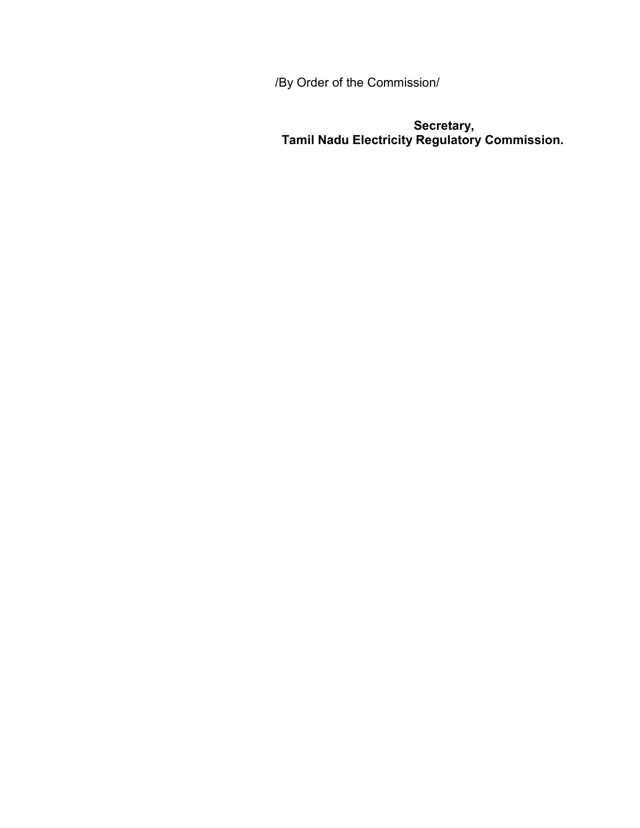/By Order of the Commission/

**Secretary, Executive Secretary, Secretary, Angle** Tamil Nadu Electricity Regulatory Commission.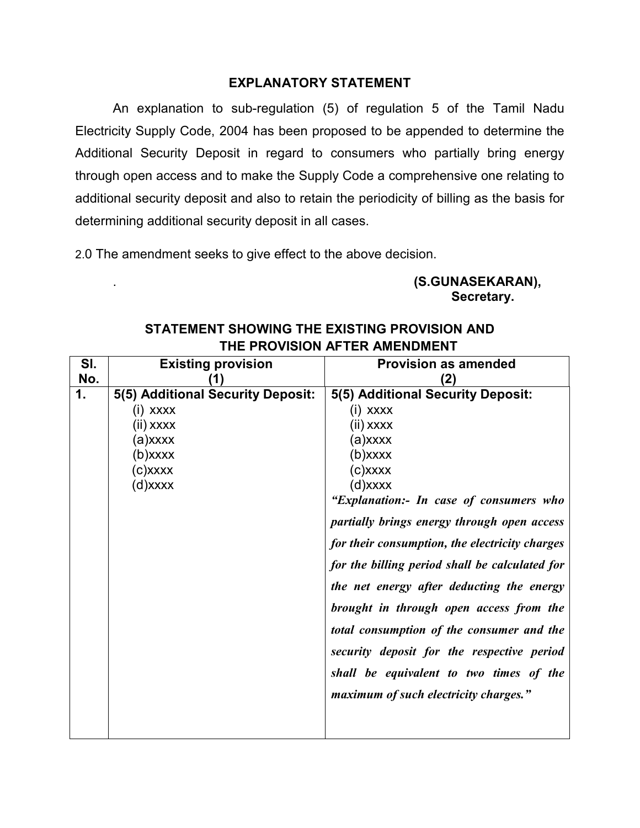#### EXPLANATORY STATEMENT

 An explanation to sub-regulation (5) of regulation 5 of the Tamil Nadu Electricity Supply Code, 2004 has been proposed to be appended to determine the Additional Security Deposit in regard to consumers who partially bring energy through open access and to make the Supply Code a comprehensive one relating to additional security deposit and also to retain the periodicity of billing as the basis for determining additional security deposit in all cases.

2.0 The amendment seeks to give effect to the above decision.

### . (S.GUNASEKARAN), Secretary.

| SI. | <b>Existing provision</b>         | <b>Provision as amended</b>                    |
|-----|-----------------------------------|------------------------------------------------|
| No. |                                   | (2)                                            |
| 1.  | 5(5) Additional Security Deposit: | 5(5) Additional Security Deposit:              |
|     | (i) xxxx                          | (i) xxxx                                       |
|     | (ii) xxxx                         | (ii) xxxx                                      |
|     | (a)xxxx                           | (a)xxxx                                        |
|     | $(b)$ xxxx                        | (b)xxxx                                        |
|     | $(c)$ xxxx                        | (c)xxxx                                        |
|     | $(d)$ xxxx                        | (d)xxxx                                        |
|     |                                   | "Explanation:- In case of consumers who        |
|     |                                   | partially brings energy through open access    |
|     |                                   | for their consumption, the electricity charges |
|     |                                   | for the billing period shall be calculated for |
|     |                                   | the net energy after deducting the energy      |
|     |                                   | brought in through open access from the        |
|     |                                   | total consumption of the consumer and the      |
|     |                                   | security deposit for the respective period     |
|     |                                   | shall be equivalent to two times of the        |
|     |                                   | maximum of such electricity charges."          |
|     |                                   |                                                |
|     |                                   |                                                |

## STATEMENT SHOWING THE EXISTING PROVISION AND THE PROVISION AFTER AMENDMENT